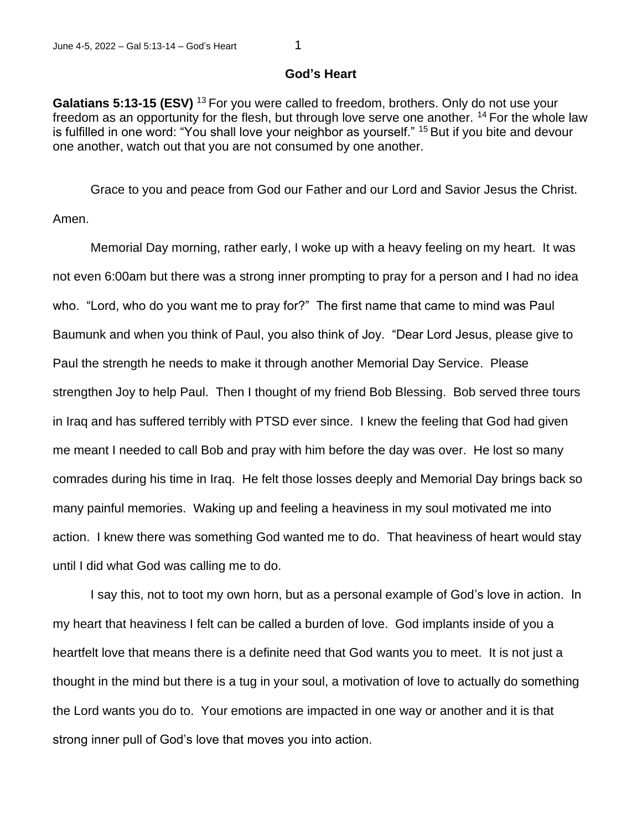## **God's Heart**

Galatians 5:13-15 (ESV)<sup>13</sup> For you were called to freedom, brothers. Only do not use your freedom as an opportunity for the flesh, but through love serve one another. <sup>14</sup> For the whole law is fulfilled in one word: "You shall love your neighbor as yourself." <sup>15</sup> But if you bite and devour one another, watch out that you are not consumed by one another.

Grace to you and peace from God our Father and our Lord and Savior Jesus the Christ. Amen.

Memorial Day morning, rather early, I woke up with a heavy feeling on my heart. It was not even 6:00am but there was a strong inner prompting to pray for a person and I had no idea who. "Lord, who do you want me to pray for?" The first name that came to mind was Paul Baumunk and when you think of Paul, you also think of Joy. "Dear Lord Jesus, please give to Paul the strength he needs to make it through another Memorial Day Service. Please strengthen Joy to help Paul. Then I thought of my friend Bob Blessing. Bob served three tours in Iraq and has suffered terribly with PTSD ever since. I knew the feeling that God had given me meant I needed to call Bob and pray with him before the day was over. He lost so many comrades during his time in Iraq. He felt those losses deeply and Memorial Day brings back so many painful memories. Waking up and feeling a heaviness in my soul motivated me into action. I knew there was something God wanted me to do. That heaviness of heart would stay until I did what God was calling me to do.

I say this, not to toot my own horn, but as a personal example of God's love in action. In my heart that heaviness I felt can be called a burden of love. God implants inside of you a heartfelt love that means there is a definite need that God wants you to meet. It is not just a thought in the mind but there is a tug in your soul, a motivation of love to actually do something the Lord wants you do to. Your emotions are impacted in one way or another and it is that strong inner pull of God's love that moves you into action.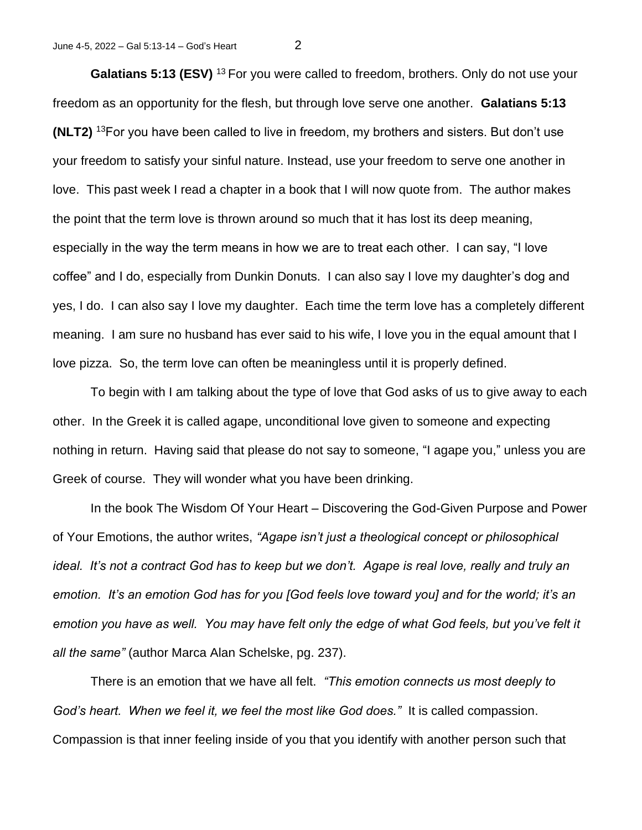**Galatians 5:13 (ESV)** <sup>13</sup> For you were called to freedom, brothers. Only do not use your freedom as an opportunity for the flesh, but through love serve one another. **Galatians 5:13 (NLT2)** <sup>13</sup>For you have been called to live in freedom, my brothers and sisters. But don't use your freedom to satisfy your sinful nature. Instead, use your freedom to serve one another in love. This past week I read a chapter in a book that I will now quote from. The author makes the point that the term love is thrown around so much that it has lost its deep meaning, especially in the way the term means in how we are to treat each other. I can say, "I love coffee" and I do, especially from Dunkin Donuts. I can also say I love my daughter's dog and yes, I do. I can also say I love my daughter. Each time the term love has a completely different meaning. I am sure no husband has ever said to his wife, I love you in the equal amount that I love pizza. So, the term love can often be meaningless until it is properly defined.

To begin with I am talking about the type of love that God asks of us to give away to each other. In the Greek it is called agape, unconditional love given to someone and expecting nothing in return. Having said that please do not say to someone, "I agape you," unless you are Greek of course. They will wonder what you have been drinking.

In the book The Wisdom Of Your Heart – Discovering the God-Given Purpose and Power of Your Emotions, the author writes, *"Agape isn't just a theological concept or philosophical ideal. It's not a contract God has to keep but we don't. Agape is real love, really and truly an emotion. It's an emotion God has for you [God feels love toward you] and for the world; it's an emotion you have as well. You may have felt only the edge of what God feels, but you've felt it all the same"* (author Marca Alan Schelske, pg. 237).

There is an emotion that we have all felt. *"This emotion connects us most deeply to God's heart. When we feel it, we feel the most like God does."* It is called compassion. Compassion is that inner feeling inside of you that you identify with another person such that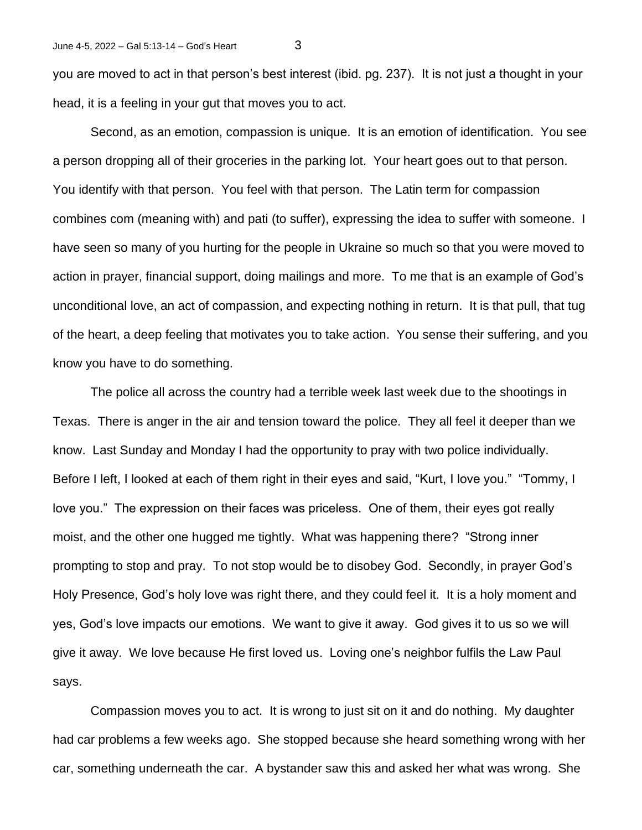you are moved to act in that person's best interest (ibid. pg. 237). It is not just a thought in your head, it is a feeling in your gut that moves you to act.

Second, as an emotion, compassion is unique. It is an emotion of identification. You see a person dropping all of their groceries in the parking lot. Your heart goes out to that person. You identify with that person. You feel with that person. The Latin term for compassion combines com (meaning with) and pati (to suffer), expressing the idea to suffer with someone. I have seen so many of you hurting for the people in Ukraine so much so that you were moved to action in prayer, financial support, doing mailings and more. To me that is an example of God's unconditional love, an act of compassion, and expecting nothing in return. It is that pull, that tug of the heart, a deep feeling that motivates you to take action. You sense their suffering, and you know you have to do something.

The police all across the country had a terrible week last week due to the shootings in Texas. There is anger in the air and tension toward the police. They all feel it deeper than we know. Last Sunday and Monday I had the opportunity to pray with two police individually. Before I left, I looked at each of them right in their eyes and said, "Kurt, I love you." "Tommy, I love you." The expression on their faces was priceless. One of them, their eyes got really moist, and the other one hugged me tightly. What was happening there? "Strong inner prompting to stop and pray. To not stop would be to disobey God. Secondly, in prayer God's Holy Presence, God's holy love was right there, and they could feel it. It is a holy moment and yes, God's love impacts our emotions. We want to give it away. God gives it to us so we will give it away. We love because He first loved us. Loving one's neighbor fulfils the Law Paul says.

Compassion moves you to act. It is wrong to just sit on it and do nothing. My daughter had car problems a few weeks ago. She stopped because she heard something wrong with her car, something underneath the car. A bystander saw this and asked her what was wrong. She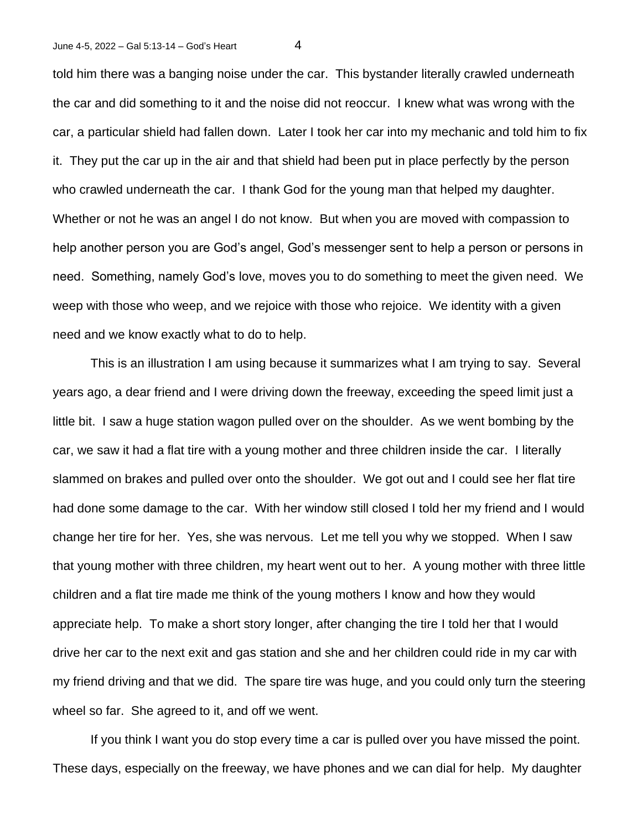told him there was a banging noise under the car. This bystander literally crawled underneath the car and did something to it and the noise did not reoccur. I knew what was wrong with the car, a particular shield had fallen down. Later I took her car into my mechanic and told him to fix it. They put the car up in the air and that shield had been put in place perfectly by the person who crawled underneath the car. I thank God for the young man that helped my daughter. Whether or not he was an angel I do not know. But when you are moved with compassion to help another person you are God's angel, God's messenger sent to help a person or persons in need. Something, namely God's love, moves you to do something to meet the given need. We weep with those who weep, and we rejoice with those who rejoice. We identity with a given need and we know exactly what to do to help.

This is an illustration I am using because it summarizes what I am trying to say. Several years ago, a dear friend and I were driving down the freeway, exceeding the speed limit just a little bit. I saw a huge station wagon pulled over on the shoulder. As we went bombing by the car, we saw it had a flat tire with a young mother and three children inside the car. I literally slammed on brakes and pulled over onto the shoulder. We got out and I could see her flat tire had done some damage to the car. With her window still closed I told her my friend and I would change her tire for her. Yes, she was nervous. Let me tell you why we stopped. When I saw that young mother with three children, my heart went out to her. A young mother with three little children and a flat tire made me think of the young mothers I know and how they would appreciate help. To make a short story longer, after changing the tire I told her that I would drive her car to the next exit and gas station and she and her children could ride in my car with my friend driving and that we did. The spare tire was huge, and you could only turn the steering wheel so far. She agreed to it, and off we went.

If you think I want you do stop every time a car is pulled over you have missed the point. These days, especially on the freeway, we have phones and we can dial for help. My daughter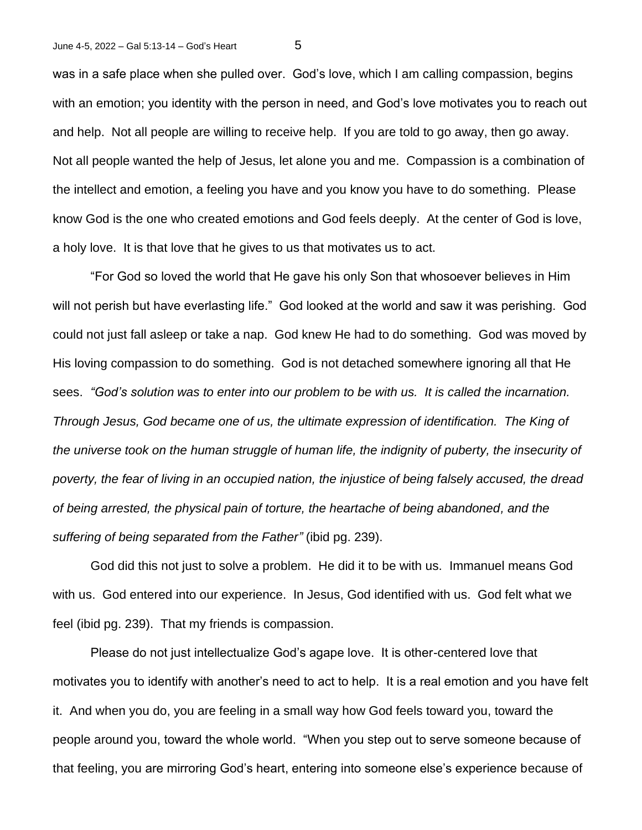was in a safe place when she pulled over. God's love, which I am calling compassion, begins with an emotion; you identity with the person in need, and God's love motivates you to reach out and help. Not all people are willing to receive help. If you are told to go away, then go away. Not all people wanted the help of Jesus, let alone you and me. Compassion is a combination of the intellect and emotion, a feeling you have and you know you have to do something. Please know God is the one who created emotions and God feels deeply. At the center of God is love, a holy love. It is that love that he gives to us that motivates us to act.

"For God so loved the world that He gave his only Son that whosoever believes in Him will not perish but have everlasting life." God looked at the world and saw it was perishing. God could not just fall asleep or take a nap. God knew He had to do something. God was moved by His loving compassion to do something. God is not detached somewhere ignoring all that He sees. *"God's solution was to enter into our problem to be with us. It is called the incarnation. Through Jesus, God became one of us, the ultimate expression of identification. The King of*  the universe took on the human struggle of human life, the indignity of puberty, the insecurity of *poverty, the fear of living in an occupied nation, the injustice of being falsely accused, the dread of being arrested, the physical pain of torture, the heartache of being abandoned, and the suffering of being separated from the Father"* (ibid pg. 239).

God did this not just to solve a problem. He did it to be with us. Immanuel means God with us. God entered into our experience. In Jesus, God identified with us. God felt what we feel (ibid pg. 239). That my friends is compassion.

Please do not just intellectualize God's agape love. It is other-centered love that motivates you to identify with another's need to act to help. It is a real emotion and you have felt it. And when you do, you are feeling in a small way how God feels toward you, toward the people around you, toward the whole world. "When you step out to serve someone because of that feeling, you are mirroring God's heart, entering into someone else's experience because of